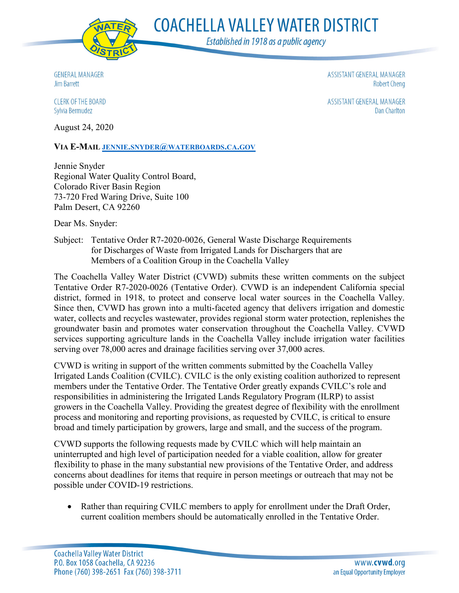

**COACHELLA VALLEY WATER DISTRICT** 

Established in 1918 as a public agency

**GENERAL MANAGER Jim Barrett** 

ASSISTANT GENERAL MANAGER **Robert Cheng** 

**CLERK OF THE BOARD** Sylvia Bermudez

ASSISTANT GENERAL MANAGER **Dan Charlton** 

August 24, 2020

**VIA E-MAIL [JENNIE.SNYDER@WATERBOARDS.CA.GOV](mailto:jennie.snyder@waterboards.ca.gov)**

Jennie Snyder Regional Water Quality Control Board, Colorado River Basin Region 73-720 Fred Waring Drive, Suite 100 Palm Desert, CA 92260

Dear Ms. Snyder:

Subject: Tentative Order R7-2020-0026, General Waste Discharge Requirements for Discharges of Waste from Irrigated Lands for Dischargers that are Members of a Coalition Group in the Coachella Valley

The Coachella Valley Water District (CVWD) submits these written comments on the subject Tentative Order R7-2020-0026 (Tentative Order). CVWD is an independent California special district, formed in 1918, to protect and conserve local water sources in the Coachella Valley. Since then, CVWD has grown into a multi-faceted agency that delivers irrigation and domestic water, collects and recycles wastewater, provides regional storm water protection, replenishes the groundwater basin and promotes water conservation throughout the Coachella Valley. CVWD services supporting agriculture lands in the Coachella Valley include irrigation water facilities serving over 78,000 acres and drainage facilities serving over 37,000 acres.

CVWD is writing in support of the written comments submitted by the Coachella Valley Irrigated Lands Coalition (CVILC). CVILC is the only existing coalition authorized to represent members under the Tentative Order. The Tentative Order greatly expands CVILC's role and responsibilities in administering the Irrigated Lands Regulatory Program (ILRP) to assist growers in the Coachella Valley. Providing the greatest degree of flexibility with the enrollment process and monitoring and reporting provisions, as requested by CVILC, is critical to ensure broad and timely participation by growers, large and small, and the success of the program.

CVWD supports the following requests made by CVILC which will help maintain an uninterrupted and high level of participation needed for a viable coalition, allow for greater flexibility to phase in the many substantial new provisions of the Tentative Order, and address concerns about deadlines for items that require in person meetings or outreach that may not be possible under COVID-19 restrictions.

• Rather than requiring CVILC members to apply for enrollment under the Draft Order, current coalition members should be automatically enrolled in the Tentative Order.